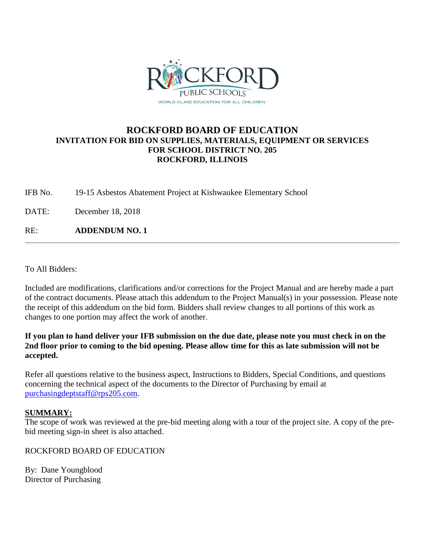

## **ROCKFORD BOARD OF EDUCATION INVITATION FOR BID ON SUPPLIES, MATERIALS, EQUIPMENT OR SERVICES FOR SCHOOL DISTRICT NO. 205 ROCKFORD, ILLINOIS**

IFB No. 19-15 Asbestos Abatement Project at Kishwaukee Elementary School

DATE: December 18, 2018

RE: **ADDENDUM NO. 1**

To All Bidders:

Included are modifications, clarifications and/or corrections for the Project Manual and are hereby made a part of the contract documents. Please attach this addendum to the Project Manual(s) in your possession. Please note the receipt of this addendum on the bid form. Bidders shall review changes to all portions of this work as changes to one portion may affect the work of another.

### **If you plan to hand deliver your IFB submission on the due date, please note you must check in on the 2nd floor prior to coming to the bid opening. Please allow time for this as late submission will not be accepted.**

Refer all questions relative to the business aspect, Instructions to Bidders, Special Conditions, and questions concerning the technical aspect of the documents to the Director of Purchasing by email at [purchasingdeptstaff@rps205.com.](mailto:purchasingdeptstaff@rps205.com)

### **SUMMARY:**

The scope of work was reviewed at the pre-bid meeting along with a tour of the project site. A copy of the prebid meeting sign-in sheet is also attached.

ROCKFORD BOARD OF EDUCATION

By: Dane Youngblood Director of Purchasing